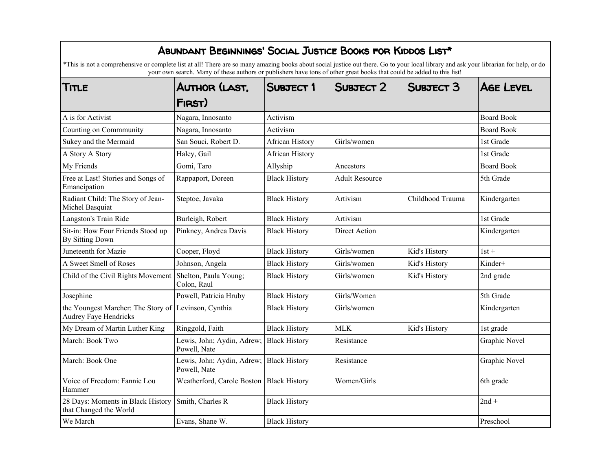| ABUNDANT BEGINNINGS' SOCIAL JUSTICE BOOKS FOR KIDDOS LIST*<br>*This is not a comprehensive or complete list at all! There are so many amazing books about social justice out there. Go to your local library and ask your librarian for help, or do<br>your own search. Many of these authors or publishers have tons of other great books that could be added to this list! |                                            |                        |                       |                      |                      |  |
|------------------------------------------------------------------------------------------------------------------------------------------------------------------------------------------------------------------------------------------------------------------------------------------------------------------------------------------------------------------------------|--------------------------------------------|------------------------|-----------------------|----------------------|----------------------|--|
| TITLE                                                                                                                                                                                                                                                                                                                                                                        | AUTHOR (LAST.<br>FIRST)                    | <b>SUBJECT 1</b>       | SUBJECT 2             | SUBJECT <sub>3</sub> | <b>AGE LEVEL</b>     |  |
| A is for Activist                                                                                                                                                                                                                                                                                                                                                            | Nagara, Innosanto                          | Activism               |                       |                      | <b>Board Book</b>    |  |
| Counting on Commmunity                                                                                                                                                                                                                                                                                                                                                       | Nagara, Innosanto                          | Activism               |                       |                      | <b>Board Book</b>    |  |
| Sukey and the Mermaid                                                                                                                                                                                                                                                                                                                                                        | San Souci, Robert D.                       | <b>African History</b> | Girls/women           |                      | 1st Grade            |  |
| A Story A Story                                                                                                                                                                                                                                                                                                                                                              | Haley, Gail                                | <b>African History</b> |                       |                      | 1st Grade            |  |
| My Friends                                                                                                                                                                                                                                                                                                                                                                   | Gomi, Taro                                 | Allyship               | Ancestors             |                      | <b>Board Book</b>    |  |
| Free at Last! Stories and Songs of<br>Emancipation                                                                                                                                                                                                                                                                                                                           | Rappaport, Doreen                          | <b>Black History</b>   | <b>Adult Resource</b> |                      | 5th Grade            |  |
| Radiant Child: The Story of Jean-<br>Michel Basquiat                                                                                                                                                                                                                                                                                                                         | Steptoe, Javaka                            | <b>Black History</b>   | Artivism              | Childhood Trauma     | Kindergarten         |  |
| Langston's Train Ride                                                                                                                                                                                                                                                                                                                                                        | Burleigh, Robert                           | <b>Black History</b>   | Artivism              |                      | 1st Grade            |  |
| Sit-in: How Four Friends Stood up<br>By Sitting Down                                                                                                                                                                                                                                                                                                                         | Pinkney, Andrea Davis                      | <b>Black History</b>   | Direct Action         |                      | Kindergarten         |  |
| Juneteenth for Mazie                                                                                                                                                                                                                                                                                                                                                         | Cooper, Floyd                              | <b>Black History</b>   | Girls/women           | Kid's History        | $1st +$              |  |
| A Sweet Smell of Roses                                                                                                                                                                                                                                                                                                                                                       | Johnson, Angela                            | <b>Black History</b>   | Girls/women           | Kid's History        | Kinder+              |  |
| Child of the Civil Rights Movement                                                                                                                                                                                                                                                                                                                                           | Shelton, Paula Young;<br>Colon, Raul       | <b>Black History</b>   | Girls/women           | Kid's History        | 2nd grade            |  |
| Josephine                                                                                                                                                                                                                                                                                                                                                                    | Powell, Patricia Hruby                     | <b>Black History</b>   | Girls/Women           |                      | 5th Grade            |  |
| the Youngest Marcher: The Story of Levinson, Cynthia<br><b>Audrey Faye Hendricks</b>                                                                                                                                                                                                                                                                                         |                                            | <b>Black History</b>   | Girls/women           |                      | Kindergarten         |  |
| My Dream of Martin Luther King                                                                                                                                                                                                                                                                                                                                               | Ringgold, Faith                            | <b>Black History</b>   | <b>MLK</b>            | Kid's History        | 1st grade            |  |
| March: Book Two                                                                                                                                                                                                                                                                                                                                                              | Lewis, John; Aydin, Adrew;<br>Powell, Nate | <b>Black History</b>   | Resistance            |                      | Graphic Novel        |  |
| March: Book One                                                                                                                                                                                                                                                                                                                                                              | Lewis, John; Aydin, Adrew;<br>Powell, Nate | <b>Black History</b>   | Resistance            |                      | <b>Graphic Novel</b> |  |
| Voice of Freedom: Fannie Lou<br>Hammer                                                                                                                                                                                                                                                                                                                                       | Weatherford, Carole Boston                 | <b>Black History</b>   | Women/Girls           |                      | 6th grade            |  |
| 28 Days: Moments in Black History<br>that Changed the World                                                                                                                                                                                                                                                                                                                  | Smith, Charles R                           | <b>Black History</b>   |                       |                      | $2nd +$              |  |
| We March                                                                                                                                                                                                                                                                                                                                                                     | Evans, Shane W.                            | <b>Black History</b>   |                       |                      | Preschool            |  |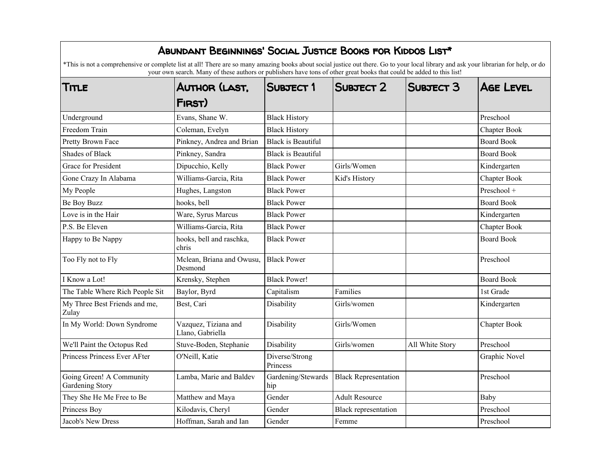| ABUNDANT BEGINNINGS' SOCIAL JUSTICE BOOKS FOR KIDDOS LIST*                                                                                                                                                                                                                                                     |                                          |                            |                             |                 |                     |  |
|----------------------------------------------------------------------------------------------------------------------------------------------------------------------------------------------------------------------------------------------------------------------------------------------------------------|------------------------------------------|----------------------------|-----------------------------|-----------------|---------------------|--|
| *This is not a comprehensive or complete list at all! There are so many amazing books about social justice out there. Go to your local library and ask your librarian for help, or do<br>your own search. Many of these authors or publishers have tons of other great books that could be added to this list! |                                          |                            |                             |                 |                     |  |
| TITLE                                                                                                                                                                                                                                                                                                          | AUTHOR (LAST.                            | <b>SUBJECT 1</b>           | SUBJECT 2                   | SUBJECT 3       | <b>AGE LEVEL</b>    |  |
|                                                                                                                                                                                                                                                                                                                | FIRST)                                   |                            |                             |                 |                     |  |
| Underground                                                                                                                                                                                                                                                                                                    | Evans, Shane W.                          | <b>Black History</b>       |                             |                 | Preschool           |  |
| Freedom Train                                                                                                                                                                                                                                                                                                  | Coleman, Evelyn                          | <b>Black History</b>       |                             |                 | <b>Chapter Book</b> |  |
| Pretty Brown Face                                                                                                                                                                                                                                                                                              | Pinkney, Andrea and Brian                | <b>Black is Beautiful</b>  |                             |                 | <b>Board Book</b>   |  |
| <b>Shades of Black</b>                                                                                                                                                                                                                                                                                         | Pinkney, Sandra                          | <b>Black is Beautiful</b>  |                             |                 | <b>Board Book</b>   |  |
| Grace for President                                                                                                                                                                                                                                                                                            | Dipucchio, Kelly                         | <b>Black Power</b>         | Girls/Women                 |                 | Kindergarten        |  |
| Gone Crazy In Alabama                                                                                                                                                                                                                                                                                          | Williams-Garcia, Rita                    | <b>Black Power</b>         | Kid's History               |                 | Chapter Book        |  |
| My People                                                                                                                                                                                                                                                                                                      | Hughes, Langston                         | <b>Black Power</b>         |                             |                 | Preschool +         |  |
| Be Boy Buzz                                                                                                                                                                                                                                                                                                    | hooks, bell                              | <b>Black Power</b>         |                             |                 | <b>Board Book</b>   |  |
| Love is in the Hair                                                                                                                                                                                                                                                                                            | Ware, Syrus Marcus                       | <b>Black Power</b>         |                             |                 | Kindergarten        |  |
| P.S. Be Eleven                                                                                                                                                                                                                                                                                                 | Williams-Garcia, Rita                    | <b>Black Power</b>         |                             |                 | <b>Chapter Book</b> |  |
| Happy to Be Nappy                                                                                                                                                                                                                                                                                              | hooks, bell and raschka,<br>chris        | <b>Black Power</b>         |                             |                 | <b>Board Book</b>   |  |
| Too Fly not to Fly                                                                                                                                                                                                                                                                                             | Mclean, Briana and Owusu,<br>Desmond     | <b>Black Power</b>         |                             |                 | Preschool           |  |
| I Know a Lot!                                                                                                                                                                                                                                                                                                  | Krensky, Stephen                         | <b>Black Power!</b>        |                             |                 | <b>Board Book</b>   |  |
| The Table Where Rich People Sit                                                                                                                                                                                                                                                                                | Baylor, Byrd                             | Capitalism                 | Families                    |                 | 1st Grade           |  |
| My Three Best Friends and me,<br>Zulay                                                                                                                                                                                                                                                                         | Best, Cari                               | Disability                 | Girls/women                 |                 | Kindergarten        |  |
| In My World: Down Syndrome                                                                                                                                                                                                                                                                                     | Vazquez, Tiziana and<br>Llano, Gabriella | Disability                 | Girls/Women                 |                 | Chapter Book        |  |
| We'll Paint the Octopus Red                                                                                                                                                                                                                                                                                    | Stuve-Boden, Stephanie                   | Disability                 | Girls/women                 | All White Story | Preschool           |  |
| Princess Princess Ever AFter                                                                                                                                                                                                                                                                                   | O'Neill, Katie                           | Diverse/Strong<br>Princess |                             |                 | Graphic Novel       |  |
| Going Green! A Community<br>Gardening Story                                                                                                                                                                                                                                                                    | Lamba, Marie and Baldev                  | Gardening/Stewards<br>hip  | <b>Black Representation</b> |                 | Preschool           |  |
| They She He Me Free to Be                                                                                                                                                                                                                                                                                      | Matthew and Maya                         | Gender                     | <b>Adult Resource</b>       |                 | Baby                |  |
| Princess Boy                                                                                                                                                                                                                                                                                                   | Kilodavis, Cheryl                        | Gender                     | Black representation        |                 | Preschool           |  |
| Jacob's New Dress                                                                                                                                                                                                                                                                                              | Hoffman, Sarah and Ian                   | Gender                     | Femme                       |                 | Preschool           |  |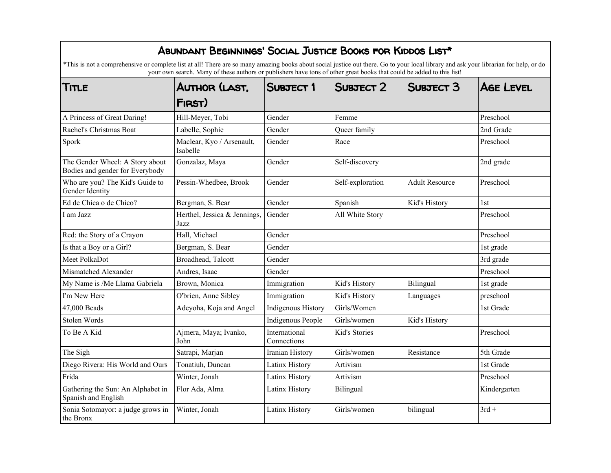| ABUNDANT BEGINNINGS' SOCIAL JUSTICE BOOKS FOR KIDDOS LIST*<br>*This is not a comprehensive or complete list at all! There are so many amazing books about social justice out there. Go to your local library and ask your librarian for help, or do |                                                                                                                                                  |                              |                  |                       |                  |
|-----------------------------------------------------------------------------------------------------------------------------------------------------------------------------------------------------------------------------------------------------|--------------------------------------------------------------------------------------------------------------------------------------------------|------------------------------|------------------|-----------------------|------------------|
| TITLE                                                                                                                                                                                                                                               | your own search. Many of these authors or publishers have tons of other great books that could be added to this list!<br>AUTHOR (LAST.<br>FIRST) | SUBJECT 1                    | SUBJECT 2        | SUBJECT 3             | <b>AGE LEVEL</b> |
| A Princess of Great Daring!                                                                                                                                                                                                                         | Hill-Meyer, Tobi                                                                                                                                 | Gender                       | Femme            |                       | Preschool        |
| Rachel's Christmas Boat                                                                                                                                                                                                                             | Labelle, Sophie                                                                                                                                  | Gender                       | Queer family     |                       | 2nd Grade        |
| Spork                                                                                                                                                                                                                                               | Maclear, Kyo / Arsenault,<br>Isabelle                                                                                                            | Gender                       | Race             |                       | Preschool        |
| The Gender Wheel: A Story about<br>Bodies and gender for Everybody                                                                                                                                                                                  | Gonzalaz, Maya                                                                                                                                   | Gender                       | Self-discovery   |                       | 2nd grade        |
| Who are you? The Kid's Guide to<br>Gender Identity                                                                                                                                                                                                  | Pessin-Whedbee, Brook                                                                                                                            | Gender                       | Self-exploration | <b>Adult Resource</b> | Preschool        |
| Ed de Chica o de Chico?                                                                                                                                                                                                                             | Bergman, S. Bear                                                                                                                                 | Gender                       | Spanish          | Kid's History         | 1st              |
| I am Jazz                                                                                                                                                                                                                                           | Herthel, Jessica & Jennings,<br>Jazz                                                                                                             | Gender                       | All White Story  |                       | Preschool        |
| Red: the Story of a Crayon                                                                                                                                                                                                                          | Hall, Michael                                                                                                                                    | Gender                       |                  |                       | Preschool        |
| Is that a Boy or a Girl?                                                                                                                                                                                                                            | Bergman, S. Bear                                                                                                                                 | Gender                       |                  |                       | 1st grade        |
| Meet PolkaDot                                                                                                                                                                                                                                       | Broadhead, Talcott                                                                                                                               | Gender                       |                  |                       | 3rd grade        |
| Mismatched Alexander                                                                                                                                                                                                                                | Andres, Isaac                                                                                                                                    | Gender                       |                  |                       | Preschool        |
| My Name is /Me Llama Gabriela                                                                                                                                                                                                                       | Brown, Monica                                                                                                                                    | Immigration                  | Kid's History    | Bilingual             | 1st grade        |
| I'm New Here                                                                                                                                                                                                                                        | O'brien, Anne Sibley                                                                                                                             | Immigration                  | Kid's History    | Languages             | preschool        |
| 47,000 Beads                                                                                                                                                                                                                                        | Adeyoha, Koja and Angel                                                                                                                          | <b>Indigenous History</b>    | Girls/Women      |                       | 1st Grade        |
| Stolen Words                                                                                                                                                                                                                                        |                                                                                                                                                  | Indigenous People            | Girls/women      | Kid's History         |                  |
| To Be A Kid                                                                                                                                                                                                                                         | Ajmera, Maya; Ivanko,<br>John                                                                                                                    | International<br>Connections | Kid's Stories    |                       | Preschool        |
| The Sigh                                                                                                                                                                                                                                            | Satrapi, Marjan                                                                                                                                  | Iranian History              | Girls/women      | Resistance            | 5th Grade        |
| Diego Rivera: His World and Ours                                                                                                                                                                                                                    | Tonatiuh, Duncan                                                                                                                                 | Latinx History               | Artivism         |                       | 1st Grade        |
| Frida                                                                                                                                                                                                                                               | Winter, Jonah                                                                                                                                    | Latinx History               | Artivism         |                       | Preschool        |
| Gathering the Sun: An Alphabet in<br>Spanish and English                                                                                                                                                                                            | Flor Ada, Alma                                                                                                                                   | Latinx History               | Bilingual        |                       | Kindergarten     |
| Sonia Sotomayor: a judge grows in<br>the Bronx                                                                                                                                                                                                      | Winter, Jonah                                                                                                                                    | Latinx History               | Girls/women      | bilingual             | $3rd +$          |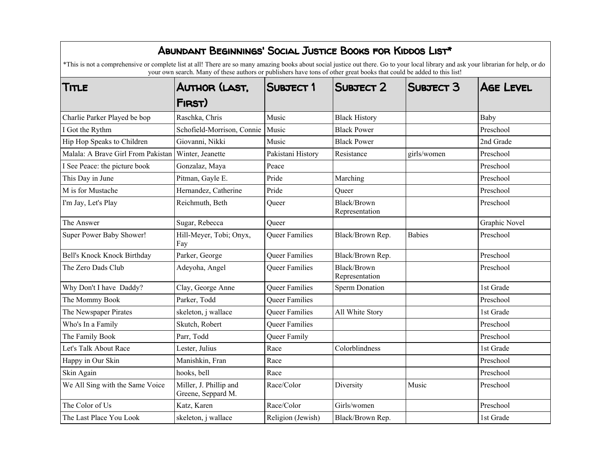| ABUNDANT BEGINNINGS' SOCIAL JUSTICE BOOKS FOR KIDDOS LIST*<br>*This is not a comprehensive or complete list at all! There are so many amazing books about social justice out there. Go to your local library and ask your librarian for help, or do |                                              |                       |                               |                  |                  |  |
|-----------------------------------------------------------------------------------------------------------------------------------------------------------------------------------------------------------------------------------------------------|----------------------------------------------|-----------------------|-------------------------------|------------------|------------------|--|
| your own search. Many of these authors or publishers have tons of other great books that could be added to this list!                                                                                                                               |                                              |                       |                               |                  |                  |  |
| Title                                                                                                                                                                                                                                               | AUTHOR (LAST.                                | <b>SUBJECT 1</b>      | SUBJECT 2                     | <b>SUBJECT 3</b> | <b>AGE LEVEL</b> |  |
|                                                                                                                                                                                                                                                     | FIRST)                                       |                       |                               |                  |                  |  |
| Charlie Parker Played be bop                                                                                                                                                                                                                        | Raschka, Chris                               | Music                 | <b>Black History</b>          |                  | Baby             |  |
| I Got the Rythm                                                                                                                                                                                                                                     | Schofield-Morrison, Connie                   | Music                 | <b>Black Power</b>            |                  | Preschool        |  |
| Hip Hop Speaks to Children                                                                                                                                                                                                                          | Giovanni, Nikki                              | Music                 | <b>Black Power</b>            |                  | 2nd Grade        |  |
| Malala: A Brave Girl From Pakistan                                                                                                                                                                                                                  | Winter, Jeanette                             | Pakistani History     | Resistance                    | girls/women      | Preschool        |  |
| I See Peace: the picture book                                                                                                                                                                                                                       | Gonzalaz, Maya                               | Peace                 |                               |                  | Preschool        |  |
| This Day in June                                                                                                                                                                                                                                    | Pitman, Gayle E.                             | Pride                 | Marching                      |                  | Preschool        |  |
| M is for Mustache                                                                                                                                                                                                                                   | Hernandez, Catherine                         | Pride                 | Oueer                         |                  | Preschool        |  |
| I'm Jay, Let's Play                                                                                                                                                                                                                                 | Reichmuth, Beth                              | Queer                 | Black/Brown<br>Representation |                  | Preschool        |  |
| The Answer                                                                                                                                                                                                                                          | Sugar, Rebecca                               | Queer                 |                               |                  | Graphic Novel    |  |
| Super Power Baby Shower!                                                                                                                                                                                                                            | Hill-Meyer, Tobi; Onyx,<br>Fay               | <b>Oueer Families</b> | Black/Brown Rep.              | <b>Babies</b>    | Preschool        |  |
| Bell's Knock Knock Birthday                                                                                                                                                                                                                         | Parker, George                               | <b>Oueer Families</b> | Black/Brown Rep.              |                  | Preschool        |  |
| The Zero Dads Club                                                                                                                                                                                                                                  | Adeyoha, Angel                               | <b>Queer Families</b> | Black/Brown<br>Representation |                  | Preschool        |  |
| Why Don't I have Daddy?                                                                                                                                                                                                                             | Clay, George Anne                            | <b>Oueer Families</b> | <b>Sperm Donation</b>         |                  | 1st Grade        |  |
| The Mommy Book                                                                                                                                                                                                                                      | Parker, Todd                                 | <b>Oueer Families</b> |                               |                  | Preschool        |  |
| The Newspaper Pirates                                                                                                                                                                                                                               | skeleton, j wallace                          | <b>Oueer Families</b> | All White Story               |                  | 1st Grade        |  |
| Who's In a Family                                                                                                                                                                                                                                   | Skutch, Robert                               | <b>Oueer Families</b> |                               |                  | Preschool        |  |
| The Family Book                                                                                                                                                                                                                                     | Parr, Todd                                   | Queer Family          |                               |                  | Preschool        |  |
| Let's Talk About Race                                                                                                                                                                                                                               | Lester, Julius                               | Race                  | Colorblindness                |                  | 1st Grade        |  |
| Happy in Our Skin                                                                                                                                                                                                                                   | Manishkin, Fran                              | Race                  |                               |                  | Preschool        |  |
| Skin Again                                                                                                                                                                                                                                          | hooks, bell                                  | Race                  |                               |                  | Preschool        |  |
| We All Sing with the Same Voice                                                                                                                                                                                                                     | Miller, J. Phillip and<br>Greene, Seppard M. | Race/Color            | Diversity                     | Music            | Preschool        |  |
| The Color of Us                                                                                                                                                                                                                                     | Katz, Karen                                  | Race/Color            | Girls/women                   |                  | Preschool        |  |
| The Last Place You Look                                                                                                                                                                                                                             | skeleton, j wallace                          | Religion (Jewish)     | Black/Brown Rep.              |                  | 1st Grade        |  |